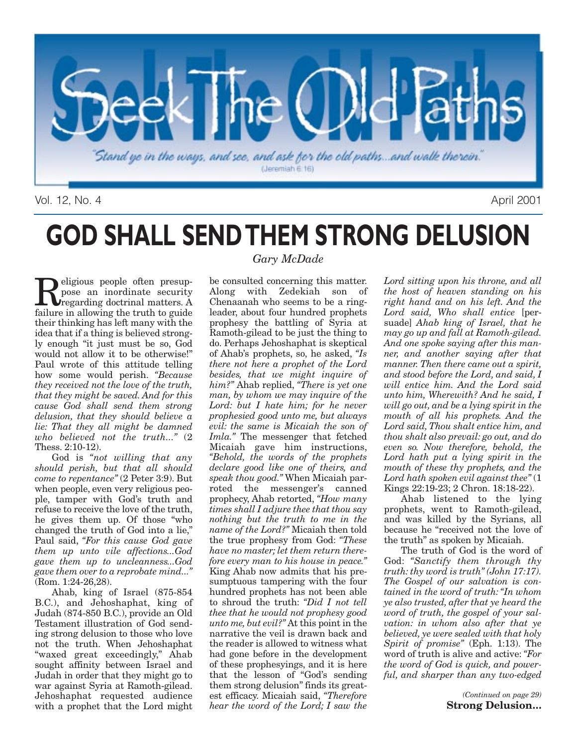

Vol. 12, No. 4 April 2001

# **GOD SHALL SEND THEM STRONG DELUSION**

**Religious people often presup-**<br>pose an inordinate security<br>regarding doctrinal matters. A<br>failure in allowing the truth to guide pose an inordinate security failure in allowing the truth to guide their thinking has left many with the idea that if a thing is believed strongly enough "it just must be so, God would not allow it to be otherwise!" Paul wrote of this attitude telling how some would perish. *"Because they received not the love of the truth, that they might be saved. And for this cause God shall send them strong delusion, that they should believe a lie: That they all might be damned who believed not the truth..."* (2 Thess. 2:10-12).

God is *"not willing that any should perish, but that all should come to repentance"* (2 Peter 3:9). But when people, even very religious people, tamper with God's truth and refuse to receive the love of the truth, he gives them up. Of those "who changed the truth of God into a lie," Paul said, *"For this cause God gave them up unto vile affections...God gave them up to uncleanness...God gave them over to a reprobate mind..."* (Rom. 1:24-26,28).

Ahab, king of Israel (875-854 B.C.), and Jehoshaphat, king of Judah (874-850 B.C.), provide an Old Testament illustration of God sending strong delusion to those who love not the truth. When Jehoshaphat "waxed great exceedingly," Ahab sought affinity between Israel and Judah in order that they might go to war against Syria at Ramoth-gilead. Jehoshaphat requested audience with a prophet that the Lord might

### *Gary McDade*

be consulted concerning this matter. Along with Zedekiah son of Chenaanah who seems to be a ringleader, about four hundred prophets prophesy the battling of Syria at Ramoth-gilead to be just the thing to do. Perhaps Jehoshaphat is skeptical of Ahab's prophets, so, he asked, *"Is there not here a prophet of the Lord besides, that we might inquire of him?"* Ahab replied, *"There is yet one man, by whom we may inquire of the Lord: but I hate him; for he never prophesied good unto me, but always evil: the same is Micaiah the son of Imla."* The messenger that fetched Micaiah gave him instructions, *"Behold, the words of the prophets declare good like one of theirs, and speak thou good."* When Micaiah parroted the messenger's canned prophecy, Ahab retorted, *"How many times shall I adjure thee that thou say nothing but the truth to me in the name of the Lord?"* Micaiah then told the true prophesy from God: *"These have no master; let them return therefore every man to his house in peace."* King Ahab now admits that his presumptuous tampering with the four hundred prophets has not been able to shroud the truth: *"Did I not tell thee that he would not prophesy good unto me, but evil?"* At this point in the narrative the veil is drawn back and the reader is allowed to witness what had gone before in the development of these prophesyings, and it is here that the lesson of "God's sending them strong delusion" finds its greatest efficacy. Micaiah said, *"Therefore hear the word of the Lord; I saw the*

*Lord sitting upon his throne, and all the host of heaven standing on his right hand and on his left. And the Lord said, Who shall entice* [persuade] *Ahab king of Israel, that he may go up and fall at Ramoth-gilead. And one spoke saying after this manner, and another saying after that manner. Then there came out a spirit, and stood before the Lord, and said, I will entice him. And the Lord said unto him, Wherewith? And he said, I will go out, and be a lying spirit in the mouth of all his prophets. And the Lord said, Thou shalt entice him, and thou shalt also prevail: go out, and do even so. Now therefore, behold, the Lord hath put a lying spirit in the mouth of these thy prophets, and the Lord hath spoken evil against thee"* (1 Kings 22:19-23; 2 Chron. 18:18-22).

Ahab listened to the lying prophets, went to Ramoth-gilead, and was killed by the Syrians, all because he "received not the love of the truth" as spoken by Micaiah.

The truth of God is the word of God: *"Sanctify them through thy truth: thy word is truth" (John 17:17). The Gospel of our salvation is contained in the word of truth: "In whom ye also trusted, after that ye heard the word of truth, the gospel of your salvation: in whom also after that ye believed, ye were sealed with that holy Spirit of promise"* (Eph. 1:13). The word of truth is alive and active: *"For the word of God is quick, and powerful, and sharper than any two-edged*

> *(Continued on page 29)* **Strong Delusion…**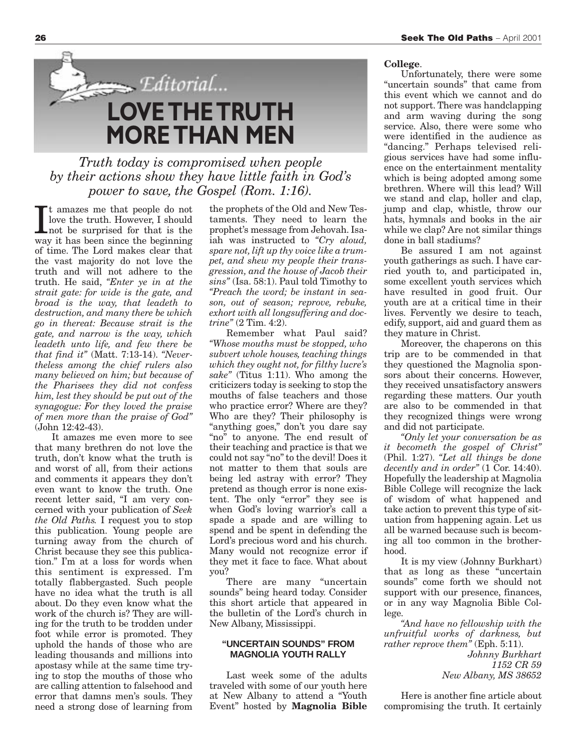

*Truth today is compromised when people by their actions show they have little faith in God's power to save, the Gospel (Rom. 1:16).*

It amazes me that people do not<br>love the truth. However, I should<br>not be surprised for that is the<br>way it has been since the beginning t amazes me that people do not love the truth. However, I should not be surprised for that is the of time. The Lord makes clear that the vast majority do not love the truth and will not adhere to the truth. He said, *"Enter ye in at the strait gate: for wide is the gate, and broad is the way, that leadeth to destruction, and many there be which go in thereat: Because strait is the gate, and narrow is the way, which leadeth unto life, and few there be that find it"* (Matt. 7:13-14). *"Nevertheless among the chief rulers also many believed on him; but because of the Pharisees they did not confess him, lest they should be put out of the synagogue: For they loved the praise of men more than the praise of God"* (John 12:42-43).

It amazes me even more to see that many brethren do not love the truth, don't know what the truth is and worst of all, from their actions and comments it appears they don't even want to know the truth. One recent letter said, "I am very concerned with your publication of *Seek the Old Paths.* I request you to stop this publication. Young people are turning away from the church of Christ because they see this publication." I'm at a loss for words when this sentiment is expressed. I'm totally flabbergasted. Such people have no idea what the truth is all about. Do they even know what the work of the church is? They are willing for the truth to be trodden under foot while error is promoted. They uphold the hands of those who are leading thousands and millions into apostasy while at the same time trying to stop the mouths of those who are calling attention to falsehood and error that damns men's souls. They need a strong dose of learning from

the prophets of the Old and New Testaments. They need to learn the prophet's message from Jehovah. Isaiah was instructed to *"Cry aloud, spare not, lift up thy voice like a trumpet, and shew my people their transgression, and the house of Jacob their sins"* (Isa. 58:1). Paul told Timothy to *"Preach the word; be instant in season, out of season; reprove, rebuke, exhort with all longsuffering and doctrine"* (2 Tim. 4:2).

Remember what Paul said? *"Whose mouths must be stopped, who subvert whole houses, teaching things which they ought not, for filthy lucre's sake"* (Titus 1:11). Who among the criticizers today is seeking to stop the mouths of false teachers and those who practice error? Where are they? Who are they? Their philosophy is "anything goes," don't you dare say "no" to anyone. The end result of their teaching and practice is that we could not say "no" to the devil! Does it not matter to them that souls are being led astray with error? They pretend as though error is none existent. The only "error" they see is when God's loving warrior's call a spade a spade and are willing to spend and be spent in defending the Lord's precious word and his church. Many would not recognize error if they met it face to face. What about you?

There are many "uncertain sounds" being heard today. Consider this short article that appeared in the bulletin of the Lord's church in New Albany, Mississippi.

#### **"UNCERTAIN SOUNDS" FROM MAGNOLIA YOUTH RALLY**

Last week some of the adults traveled with some of our youth here at New Albany to attend a "Youth Event" hosted by **Magnolia Bible**

### **College**.

Unfortunately, there were some "uncertain sounds" that came from this event which we cannot and do not support. There was handclapping and arm waving during the song service. Also, there were some who were identified in the audience as "dancing." Perhaps televised religious services have had some influence on the entertainment mentality which is being adopted among some brethren. Where will this lead? Will we stand and clap, holler and clap, jump and clap, whistle, throw our hats, hymnals and books in the air while we clap? Are not similar things done in ball stadiums?

Be assured I am not against youth gatherings as such. I have carried youth to, and participated in, some excellent youth services which have resulted in good fruit. Our youth are at a critical time in their lives. Fervently we desire to teach, edify, support, aid and guard them as they mature in Christ.

Moreover, the chaperons on this trip are to be commended in that they questioned the Magnolia sponsors about their concerns. However, they received unsatisfactory answers regarding these matters. Our youth are also to be commended in that they recognized things were wrong and did not participate.

*"Only let your conversation be as it becometh the gospel of Christ"* (Phil. 1:27). *"Let all things be done decently and in order"* (1 Cor. 14:40). Hopefully the leadership at Magnolia Bible College will recognize the lack of wisdom of what happened and take action to prevent this type of situation from happening again. Let us all be warned because such is becoming all too common in the brotherhood.

It is my view (Johnny Burkhart) that as long as these "uncertain sounds" come forth we should not support with our presence, finances, or in any way Magnolia Bible College.

*"And have no fellowship with the unfruitful works of darkness, but rather reprove them"* (Eph. 5:11).

> *Johnny Burkhart 1152 CR 59 New Albany, MS 38652*

Here is another fine article about compromising the truth. It certainly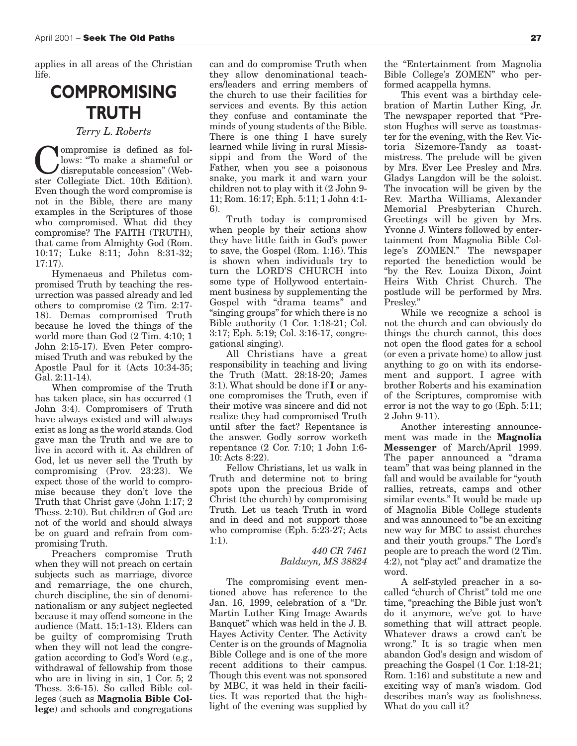applies in all areas of the Christian life.

### **COMPROMISING TRUTH**

#### *Terry L. Roberts*

**C** lows: "To make a shameful or<br>disreputable concession" (Web-<br>ster Collegiate Dict 10th Edition) lows: "To make a shameful or disreputable concession" (Webster Collegiate Dict. 10th Edition). Even though the word compromise is not in the Bible, there are many examples in the Scriptures of those who compromised. What did they compromise? The FAITH (TRUTH), that came from Almighty God (Rom. 10:17; Luke 8:11; John 8:31-32; 17:17).

Hymenaeus and Philetus compromised Truth by teaching the resurrection was passed already and led others to compromise (2 Tim. 2:17- 18). Demas compromised Truth because he loved the things of the world more than God (2 Tim. 4:10; 1 John 2:15-17). Even Peter compromised Truth and was rebuked by the Apostle Paul for it (Acts 10:34-35; Gal. 2:11-14).

When compromise of the Truth has taken place, sin has occurred (1 John 3:4). Compromisers of Truth have always existed and will always exist as long as the world stands. God gave man the Truth and we are to live in accord with it. As children of God, let us never sell the Truth by compromising (Prov. 23:23). We expect those of the world to compromise because they don't love the Truth that Christ gave (John 1:17; 2 Thess. 2:10). But children of God are not of the world and should always be on guard and refrain from compromising Truth.

Preachers compromise Truth when they will not preach on certain subjects such as marriage, divorce and remarriage, the one church, church discipline, the sin of denominationalism or any subject neglected because it may offend someone in the audience (Matt. 15:1-13). Elders can be guilty of compromising Truth when they will not lead the congregation according to God's Word (e.g., withdrawal of fellowship from those who are in living in sin, 1 Cor. 5; 2 Thess. 3:6-15). So called Bible colleges (such as **Magnolia Bible College**) and schools and congregations

can and do compromise Truth when they allow denominational teachers/leaders and erring members of the church to use their facilities for services and events. By this action they confuse and contaminate the minds of young students of the Bible. There is one thing I have surely learned while living in rural Mississippi and from the Word of the Father, when you see a poisonous snake, you mark it and warn your children not to play with it (2 John 9- 11; Rom. 16:17; Eph. 5:11; 1 John 4:1- 6).

Truth today is compromised when people by their actions show they have little faith in God's power to save, the Gospel (Rom. 1:16). This is shown when individuals try to turn the LORD'S CHURCH into some type of Hollywood entertainment business by supplementing the Gospel with "drama teams" and "singing groups" for which there is no Bible authority (1 Cor. 1:18-21; Col. 3:17; Eph. 5:19; Col. 3:16-17, congregational singing).

All Christians have a great responsibility in teaching and living the Truth (Matt. 28:18-20; James 3:1). What should be done if **I** or anyone compromises the Truth, even if their motive was sincere and did not realize they had compromised Truth until after the fact? Repentance is the answer. Godly sorrow worketh repentance (2 Cor. 7:10; 1 John 1:6- 10: Acts 8:22).

Fellow Christians, let us walk in Truth and determine not to bring spots upon the precious Bride of Christ (the church) by compromising Truth. Let us teach Truth in word and in deed and not support those who compromise (Eph. 5:23-27; Acts 1:1).

> *440 CR 7461 Baldwyn, MS 38824*

The compromising event mentioned above has reference to the Jan. 16, 1999, celebration of a "Dr. Martin Luther King Image Awards Banquet" which was held in the J. B. Hayes Activity Center. The Activity Center is on the grounds of Magnolia Bible College and is one of the more recent additions to their campus. Though this event was not sponsored by MBC, it was held in their facilities. It was reported that the highlight of the evening was supplied by

the "Entertainment from Magnolia Bible College's ZOMEN" who performed acappella hymns.

This event was a birthday celebration of Martin Luther King, Jr. The newspaper reported that "Preston Hughes will serve as toastmaster for the evening, with the Rev. Victoria Sizemore-Tandy as toastmistress. The prelude will be given by Mrs. Ever Lee Presley and Mrs. Gladys Langdon will be the soloist. The invocation will be given by the Rev. Martha Williams, Alexander Memorial Presbyterian Church. Greetings will be given by Mrs. Yvonne J. Winters followed by entertainment from Magnolia Bible College's ZOMEN." The newspaper reported the benediction would be "by the Rev. Louiza Dixon, Joint Heirs With Christ Church. The postlude will be performed by Mrs. Presley."

While we recognize a school is not the church and can obviously do things the church cannot, this does not open the flood gates for a school (or even a private home) to allow just anything to go on with its endorsement and support. I agree with brother Roberts and his examination of the Scriptures, compromise with error is not the way to go (Eph. 5:11; 2 John 9-11).

Another interesting announcement was made in the **Magnolia Messenger** of March/April 1999. The paper announced a "drama team" that was being planned in the fall and would be available for "youth rallies, retreats, camps and other similar events." It would be made up of Magnolia Bible College students and was announced to "be an exciting new way for MBC to assist churches and their youth groups." The Lord's people are to preach the word (2 Tim. 4:2), not "play act" and dramatize the word.

A self-styled preacher in a socalled "church of Christ" told me one time, "preaching the Bible just won't do it anymore, we've got to have something that will attract people. Whatever draws a crowd can't be wrong." It is so tragic when men abandon God's design and wisdom of preaching the Gospel (1 Cor. 1:18-21; Rom. 1:16) and substitute a new and exciting way of man's wisdom. God describes man's way as foolishness. What do you call it?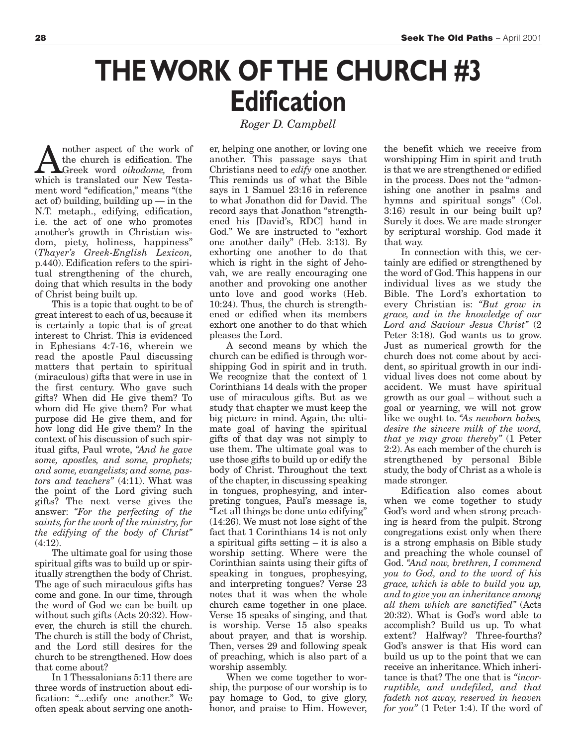## **THE WORK OF THE CHURCH #3 Edification**

*Roger D. Campbell*

nother aspect of the work of the church is edification. The Greek word *oikodome,* from which is translated our New Testament word "edification," means "(the act of) building, building up — in the N.T. metaph., edifying, edification, i.e. the act of one who promotes another's growth in Christian wisdom, piety, holiness, happiness" (*Thayer's Greek-English Lexicon,* p.440). Edification refers to the spiritual strengthening of the church, doing that which results in the body of Christ being built up.

This is a topic that ought to be of great interest to each of us, because it is certainly a topic that is of great interest to Christ. This is evidenced in Ephesians 4:7-16, wherein we read the apostle Paul discussing matters that pertain to spiritual (miraculous) gifts that were in use in the first century. Who gave such gifts? When did He give them? To whom did He give them? For what purpose did He give them, and for how long did He give them? In the context of his discussion of such spiritual gifts, Paul wrote, *"And he gave some, apostles, and some, prophets; and some, evangelists; and some, pastors and teachers"* (4:11). What was the point of the Lord giving such gifts? The next verse gives the answer: *"For the perfecting of the saints, for the work of the ministry, for the edifying of the body of Christ"* (4:12).

The ultimate goal for using those spiritual gifts was to build up or spiritually strengthen the body of Christ. The age of such miraculous gifts has come and gone. In our time, through the word of God we can be built up without such gifts (Acts 20:32). However, the church is still the church. The church is still the body of Christ, and the Lord still desires for the church to be strengthened. How does that come about?

In 1 Thessalonians 5:11 there are three words of instruction about edification: "...edify one another." We often speak about serving one another, helping one another, or loving one another. This passage says that Christians need to *edify* one another. This reminds us of what the Bible says in 1 Samuel 23:16 in reference to what Jonathon did for David. The record says that Jonathon "strengthened his [David's, RDC] hand in God." We are instructed to "exhort one another daily" (Heb. 3:13). By exhorting one another to do that which is right in the sight of Jehovah, we are really encouraging one another and provoking one another unto love and good works (Heb. 10:24). Thus, the church is strengthened or edified when its members exhort one another to do that which pleases the Lord.

A second means by which the church can be edified is through worshipping God in spirit and in truth. We recognize that the context of 1 Corinthians 14 deals with the proper use of miraculous gifts. But as we study that chapter we must keep the big picture in mind. Again, the ultimate goal of having the spiritual gifts of that day was not simply to use them. The ultimate goal was to use those gifts to build up or edify the body of Christ. Throughout the text of the chapter, in discussing speaking in tongues, prophesying, and interpreting tongues, Paul's message is, "Let all things be done unto edifying" (14:26). We must not lose sight of the fact that 1 Corinthians 14 is not only a spiritual gifts setting – it is also a worship setting. Where were the Corinthian saints using their gifts of speaking in tongues, prophesying, and interpreting tongues? Verse 23 notes that it was when the whole church came together in one place. Verse 15 speaks of singing, and that is worship. Verse 15 also speaks about prayer, and that is worship. Then, verses 29 and following speak of preaching, which is also part of a worship assembly.

When we come together to worship, the purpose of our worship is to pay homage to God, to give glory, honor, and praise to Him. However,

the benefit which we receive from worshipping Him in spirit and truth is that we are strengthened or edified in the process. Does not the "admonishing one another in psalms and hymns and spiritual songs" (Col. 3:16) result in our being built up? Surely it does. We are made stronger by scriptural worship. God made it that way.

In connection with this, we certainly are edified or strengthened by the word of God. This happens in our individual lives as we study the Bible. The Lord's exhortation to every Christian is: *"But grow in grace, and in the knowledge of our Lord and Saviour Jesus Christ"* (2 Peter 3:18). God wants us to grow. Just as numerical growth for the church does not come about by accident, so spiritual growth in our individual lives does not come about by accident. We must have spiritual growth as our goal – without such a goal or yearning, we will not grow like we ought to. *"As newborn babes, desire the sincere milk of the word, that ye may grow thereby"* (1 Peter 2:2). As each member of the church is strengthened by personal Bible study, the body of Christ as a whole is made stronger.

Edification also comes about when we come together to study God's word and when strong preaching is heard from the pulpit. Strong congregations exist only when there is a strong emphasis on Bible study and preaching the whole counsel of God. *"And now, brethren, I commend you to God, and to the word of his grace, which is able to build you up, and to give you an inheritance among all them which are sanctified"* (Acts 20:32). What is God's word able to accomplish? Build us up. To what extent? Halfway? Three-fourths? God's answer is that His word can build us up to the point that we can receive an inheritance. Which inheritance is that? The one that is *"incorruptible, and undefiled, and that fadeth not away, reserved in heaven for you"* (1 Peter 1:4). If the word of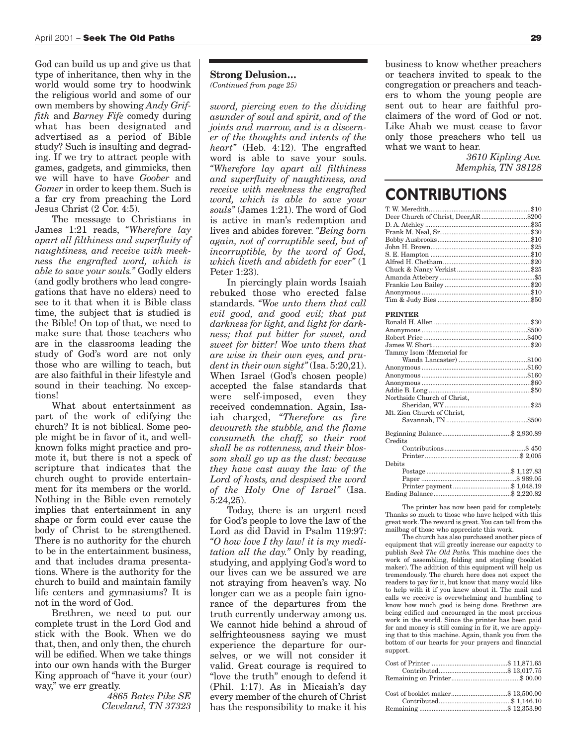God can build us up and give us that type of inheritance, then why in the world would some try to hoodwink the religious world and some of our own members by showing *Andy Griffith* and *Barney Fife* comedy during what has been designated and advertised as a period of Bible study? Such is insulting and degrading. If we try to attract people with games, gadgets, and gimmicks, then we will have to have *Goober* and *Gomer* in order to keep them. Such is a far cry from preaching the Lord Jesus Christ (2 Cor. 4:5).

The message to Christians in James 1:21 reads, *"Wherefore lay apart all filthiness and superfluity of naughtiness, and receive with meekness the engrafted word, which is able to save your souls."* Godly elders (and godly brothers who lead congregations that have no elders) need to see to it that when it is Bible class time, the subject that is studied is the Bible! On top of that, we need to make sure that those teachers who are in the classrooms leading the study of God's word are not only those who are willing to teach, but are also faithful in their lifestyle and sound in their teaching. No exceptions!

What about entertainment as part of the work of edifying the church? It is not biblical. Some people might be in favor of it, and wellknown folks might practice and promote it, but there is not a speck of scripture that indicates that the church ought to provide entertainment for its members or the world. Nothing in the Bible even remotely implies that entertainment in any shape or form could ever cause the body of Christ to be strengthened. There is no authority for the church to be in the entertainment business, and that includes drama presentations. Where is the authority for the church to build and maintain family life centers and gymnasiums? It is not in the word of God.

Brethren, we need to put our complete trust in the Lord God and stick with the Book. When we do that, then, and only then, the church will be edified. When we take things into our own hands with the Burger King approach of "have it your (our) way," we err greatly.

> *4865 Bates Pike SE Cleveland, TN 37323*

#### **Strong Delusion…**

*(Continued from page 25)*

*sword, piercing even to the dividing asunder of soul and spirit, and of the joints and marrow, and is a discerner of the thoughts and intents of the heart"* (Heb. 4:12). The engrafted word is able to save your souls. *"Wherefore lay apart all filthiness and superfluity of naughtiness, and receive with meekness the engrafted word, which is able to save your souls"* (James 1:21). The word of God is active in man's redemption and lives and abides forever. *"Being born again, not of corruptible seed, but of incorruptible, by the word of God, which liveth and abideth for ever"* (1 Peter 1:23).

In piercingly plain words Isaiah rebuked those who erected false standards. *"Woe unto them that call evil good, and good evil; that put darkness for light, and light for darkness; that put bitter for sweet, and sweet for bitter! Woe unto them that are wise in their own eyes, and prudent in their own sight"*(Isa. 5:20,21). When Israel (God's chosen people) accepted the false standards that were self-imposed, even they received condemnation. Again, Isaiah charged, *"Therefore as fire devoureth the stubble, and the flame consumeth the chaff, so their root shall be as rottenness, and their blossom shall go up as the dust: because they have cast away the law of the Lord of hosts, and despised the word of the Holy One of Israel"* (Isa. 5:24,25).

Today, there is an urgent need for God's people to love the law of the Lord as did David in Psalm 119:97: *"O how love I thy law! it is my meditation all the day."* Only by reading, studying, and applying God's word to our lives can we be assured we are not straying from heaven's way. No longer can we as a people fain ignorance of the departures from the truth currently underway among us. We cannot hide behind a shroud of selfrighteousness saying we must experience the departure for ourselves, or we will not consider it valid. Great courage is required to "love the truth" enough to defend it (Phil. 1:17). As in Micaiah's day every member of the church of Christ has the responsibility to make it his business to know whether preachers or teachers invited to speak to the congregation or preachers and teachers to whom the young people are sent out to hear are faithful proclaimers of the word of God or not. Like Ahab we must cease to favor only those preachers who tell us what we want to hear.

> *3610 Kipling Ave. Memphis, TN 38128*

### **CONTRIBUTIONS**

| Deer Church of Christ, Deer, AR \$200 |  |
|---------------------------------------|--|
|                                       |  |
|                                       |  |
|                                       |  |
|                                       |  |
|                                       |  |
|                                       |  |
|                                       |  |
|                                       |  |
|                                       |  |
|                                       |  |
|                                       |  |
| <b>PRINTER</b>                        |  |
|                                       |  |
|                                       |  |
|                                       |  |
|                                       |  |
| Tammy Isom (Memorial for              |  |
|                                       |  |
|                                       |  |
|                                       |  |
|                                       |  |
|                                       |  |
| Northside Church of Christ,           |  |
|                                       |  |
| Mt. Zion Church of Christ,            |  |
|                                       |  |
|                                       |  |
|                                       |  |
| Credits                               |  |
|                                       |  |
|                                       |  |
| Debits                                |  |
|                                       |  |
|                                       |  |
|                                       |  |
|                                       |  |

The printer has now been paid for completely. Thanks so much to those who have helped with this great work. The reward is great. You can tell from the mailbag of those who appreciate this work.

Ending Balance............................................\$ 2,220.82

The church has also purchased another piece of equipment that will greatly increase our capacity to publish *Seek The Old Paths.* This machine does the work of assembling, folding and stapling (booklet maker). The addition of this equipment will help us tremendously. The church here does not expect the readers to pay for it, but know that many would like to help with it if you knew about it. The mail and calls we receive is overwhelming and humbling to know how much good is being done. Brethren are being edified and encouraged in the most precious work in the world. Since the printer has been paid for and money is still coming in for it, we are applying that to this machine. Again, thank you from the bottom of our hearts for your prayers and financial support.

Remaining ..................................................\$ 12,353.90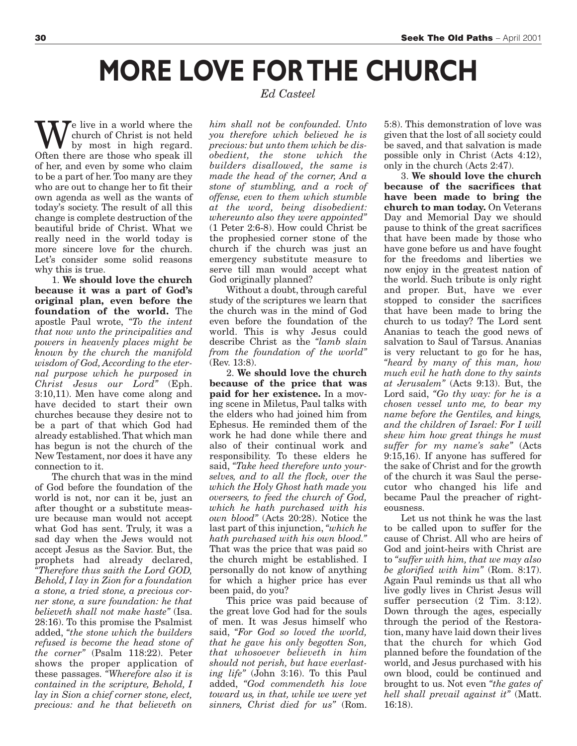## **MORE LOVE FOR THE CHURCH**

### *Ed Casteel*

We live in a world where the<br>by most in high regard.<br>Often there are those who speak ill church of Christ is not held by most in high regard. Often there are those who speak ill of her, and even by some who claim to be a part of her. Too many are they who are out to change her to fit their own agenda as well as the wants of today's society. The result of all this change is complete destruction of the beautiful bride of Christ. What we really need in the world today is more sincere love for the church. Let's consider some solid reasons why this is true.

1. **We should love the church because it was a part of God's original plan, even before the foundation of the world.** The apostle Paul wrote, *"To the intent that now unto the principalities and powers in heavenly places might be known by the church the manifold wisdom of God, According to the eternal purpose which he purposed in Christ Jesus our Lord"* (Eph. 3:10,11). Men have come along and have decided to start their own churches because they desire not to be a part of that which God had already established. That which man has begun is not the church of the New Testament, nor does it have any connection to it.

The church that was in the mind of God before the foundation of the world is not, nor can it be, just an after thought or a substitute measure because man would not accept what God has sent. Truly, it was a sad day when the Jews would not accept Jesus as the Savior. But, the prophets had already declared, *"Therefore thus saith the Lord GOD, Behold, I lay in Zion for a foundation a stone, a tried stone, a precious corner stone, a sure foundation: he that believeth shall not make haste"* (Isa. 28:16). To this promise the Psalmist added, *"the stone which the builders refused is become the head stone of the corner"* (Psalm 118:22). Peter shows the proper application of these passages. *"Wherefore also it is contained in the scripture, Behold, I lay in Sion a chief corner stone, elect, precious: and he that believeth on*

*him shall not be confounded. Unto you therefore which believed he is precious: but unto them which be disobedient, the stone which the builders disallowed, the same is made the head of the corner, And a stone of stumbling, and a rock of offense, even to them which stumble at the word, being disobedient: whereunto also they were appointed"* (1 Peter 2:6-8). How could Christ be the prophesied corner stone of the church if the church was just an emergency substitute measure to serve till man would accept what God originally planned?

Without a doubt, through careful study of the scriptures we learn that the church was in the mind of God even before the foundation of the world. This is why Jesus could describe Christ as the *"lamb slain from the foundation of the world"* (Rev. 13:8).

2. **We should love the church because of the price that was paid for her existence.** In a moving scene in Miletus, Paul talks with the elders who had joined him from Ephesus. He reminded them of the work he had done while there and also of their continual work and responsibility. To these elders he said, *"Take heed therefore unto yourselves, and to all the flock, over the which the Holy Ghost hath made you overseers, to feed the church of God, which he hath purchased with his own blood"* (Acts 20:28). Notice the last part of this injunction, *"which he hath purchased with his own blood."* That was the price that was paid so the church might be established. I personally do not know of anything for which a higher price has ever been paid, do you?

This price was paid because of the great love God had for the souls of men. It was Jesus himself who said, *"For God so loved the world, that he gave his only begotten Son, that whosoever believeth in him should not perish, but have everlasting life"* (John 3:16). To this Paul added, *"God commendeth his love toward us, in that, while we were yet sinners, Christ died for us"* (Rom.

5:8). This demonstration of love was given that the lost of all society could be saved, and that salvation is made possible only in Christ (Acts 4:12), only in the church (Acts 2:47).

3. **We should love the church because of the sacrifices that have been made to bring the church to man today.** On Veterans Day and Memorial Day we should pause to think of the great sacrifices that have been made by those who have gone before us and have fought for the freedoms and liberties we now enjoy in the greatest nation of the world. Such tribute is only right and proper. But, have we ever stopped to consider the sacrifices that have been made to bring the church to us today? The Lord sent Ananias to teach the good news of salvation to Saul of Tarsus. Ananias is very reluctant to go for he has, *"heard by many of this man, how much evil he hath done to thy saints at Jerusalem"* (Acts 9:13). But, the Lord said, *"Go thy way: for he is a chosen vessel unto me, to bear my name before the Gentiles, and kings, and the children of Israel: For I will shew him how great things he must suffer for my name's sake"* (Acts 9:15,16). If anyone has suffered for the sake of Christ and for the growth of the church it was Saul the persecutor who changed his life and became Paul the preacher of righteousness.

Let us not think he was the last to be called upon to suffer for the cause of Christ. All who are heirs of God and joint-heirs with Christ are to *"suffer with him, that we may also be glorified with him"* (Rom. 8:17). Again Paul reminds us that all who live godly lives in Christ Jesus will suffer persecution  $(2$  Tim. 3:12). Down through the ages, especially through the period of the Restoration, many have laid down their lives that the church for which God planned before the foundation of the world, and Jesus purchased with his own blood, could be continued and brought to us. Not even *"the gates of hell shall prevail against it"* (Matt. 16:18).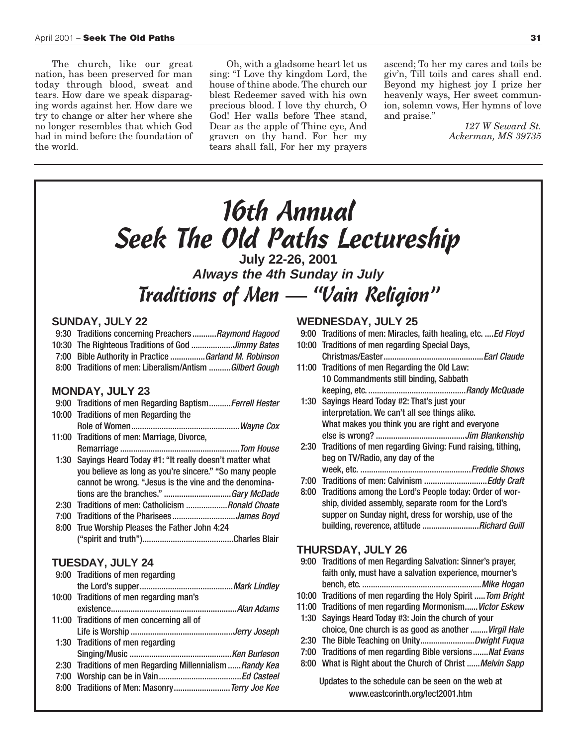The church, like our great nation, has been preserved for man today through blood, sweat and tears. How dare we speak disparaging words against her. How dare we try to change or alter her where she no longer resembles that which God had in mind before the foundation of the world.

Oh, with a gladsome heart let us sing: "I Love thy kingdom Lord, the house of thine abode. The church our blest Redeemer saved with his own precious blood. I love thy church, O God! Her walls before Thee stand, Dear as the apple of Thine eye, And graven on thy hand. For her my tears shall fall, For her my prayers

ascend; To her my cares and toils be giv'n, Till toils and cares shall end. Beyond my highest joy I prize her heavenly ways, Her sweet communion, solemn vows, Her hymns of love and praise."

> *127 W Seward St. Ackerman, MS 39735*

### 16th Annual Seek The Old Paths Lectureship **Always the 4th Sunday in July**

### Traditions of Men — "Vain Religion"

### **SUNDAY, JULY 22**

- 9:30 Traditions concerning Preachers........... Raymond Hagood
- 10:30 The Righteous Traditions of God ...................Jimmy Bates
- 7:00 Bible Authority in Practice ................Garland M. Robinson
- 8:00 Traditions of men: Liberalism/Antism .......... Gilbert Gough

### **MONDAY, JULY 23**

- 9:00 Traditions of men Regarding Baptism.......... Ferrell Hester 10:00 Traditions of men Regarding the Role of Women..................................................Wayne Cox 11:00 Traditions of men: Marriage, Divorce, Remarriage .......................................................Tom House 1:30 Sayings Heard Today #1: "It really doesn't matter what you believe as long as you're sincere." "So many people cannot be wrong. "Jesus is the vine and the denomina-
- tions are the branches." .................................Gary McDade 2:30 Traditions of men: Catholicism ...................*Ronald Choate*
- 7:00 Traditions of the Pharisees...............................James Boyd
- 8:00 True Worship Pleases the Father John 4:24 ("spirit and truth")..........................................Charles Blair

### **TUESDAY, JULY 24**

| 9:00 Traditions of men regarding                          |
|-----------------------------------------------------------|
|                                                           |
| 10:00 Traditions of men regarding man's                   |
|                                                           |
| 11:00 Traditions of men concerning all of                 |
|                                                           |
| 1:30 Traditions of men regarding                          |
|                                                           |
| 2:30 Traditions of men Regarding Millennialism  Randy Kea |
|                                                           |
| 8:00 Traditions of Men: Masonry Terry Joe Kee             |
|                                                           |

### **WEDNESDAY, JULY 25**

- 9:00 Traditions of men: Miracles, faith healing, etc. .... Ed Floyd
- 10:00 Traditions of men regarding Special Days, Christmas/Easter..............................................Earl Claude 11:00 Traditions of men Regarding the Old Law:
- 10 Commandments still binding, Sabbath keeping, etc. .............................................Randy McQuade 1:30 Sayings Heard Today #2: That's just your
- interpretation. We can't all see things alike. What makes you think you are right and everyone else is wrong? .........................................Jim Blankenship 2:30 Traditions of men regarding Giving: Fund raising, tithing,
- beg on TV/Radio, any day of the week, etc. ...................................................Freddie Shows
- 7:00 Traditions of men: Calvinism ................................Eddy Craft
- 8:00 Traditions among the Lord's People today: Order of worship, divided assembly, separate room for the Lord's supper on Sunday night, dress for worship, use of the building, reverence, attitude ............................*Richard Guill*

### **THURSDAY, JULY 26**

- 9:00 Traditions of men Regarding Salvation: Sinner's prayer, faith only, must have a salvation experience, mourner's bench, etc. .......................................................Mike Hogan 10:00 Traditions of men regarding the Holy Spirit ..... Tom Bright 11:00 Traditions of men regarding Mormonism...... Victor Eskew 1:30 Sayings Heard Today #3: Join the church of your choice, One church is as good as another ........Virgil Hale 2:30 The Bible Teaching on Unity.................................Dwight Fuqua 7:00 Traditions of men regarding Bible versions....... Nat Evans
- 8:00 What is Right about the Church of Christ ...... Melvin Sapp

Updates to the schedule can be seen on the web at www.eastcorinth.org/lect2001.htm